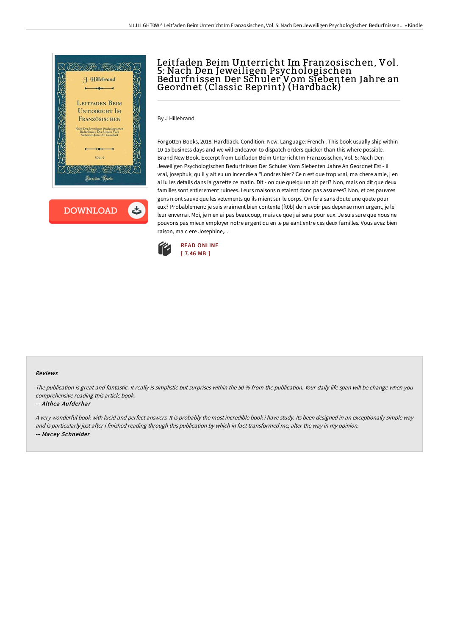

# Leitfaden Beim Unterricht Im Franzosischen, Vol. 5: Nach Den Jeweiligen Psychologischen Bedurfnissen Der Schuler Vom Siebenten Jahre an Geordnet (Classic Reprint) (Hardback)

By J Hillebrand

Forgotten Books, 2018. Hardback. Condition: New. Language: French . This book usually ship within 10-15 business days and we will endeavor to dispatch orders quicker than this where possible. Brand New Book. Excerpt from Leitfaden Beim Unterricht Im Franzosischen, Vol. 5: Nach Den Jeweiligen Psychologischen Bedurfnissen Der Schuler Vom Siebenten Jahre An Geordnet Est - il vrai, josephuk, qu il y ait eu un incendie a \*l.ondres hier? Ce n est que trop vrai, ma chere amie, j en ai lu les details dans la gazette ce matin. Dit - on que quelqu un ait peri? Non, mais on dit que deux familles sont entierement ruinees. Leurs maisons n etaient donc pas assurees? Non, et ces pauvres gens n ont sauve que les vetements qu ils mient sur le corps. On fera sans doute une quete pour eux? Probablement: je suis vraiment bien contente (ft0b) de n avoir pas depense mon urgent, je le leur enverrai. Moi, je n en ai pas beaucoup, mais ce que j ai sera pour eux. Je suis sure que nous ne pouvons pas mieux employer notre argent qu en le pa eant entre ces deux familles. Vous avez bien raison, ma c ere Josephine,...



#### Reviews

The publication is great and fantastic. It really is simplistic but surprises within the <sup>50</sup> % from the publication. Your daily life span will be change when you comprehensive reading this article book.

### -- Althea Aufderhar

<sup>A</sup> very wonderful book with lucid and perfect answers. It is probably the most incredible book i have study. Its been designed in an exceptionally simple way and is particularly just after i finished reading through this publication by which in fact transformed me, alter the way in my opinion. -- Macey Schneider